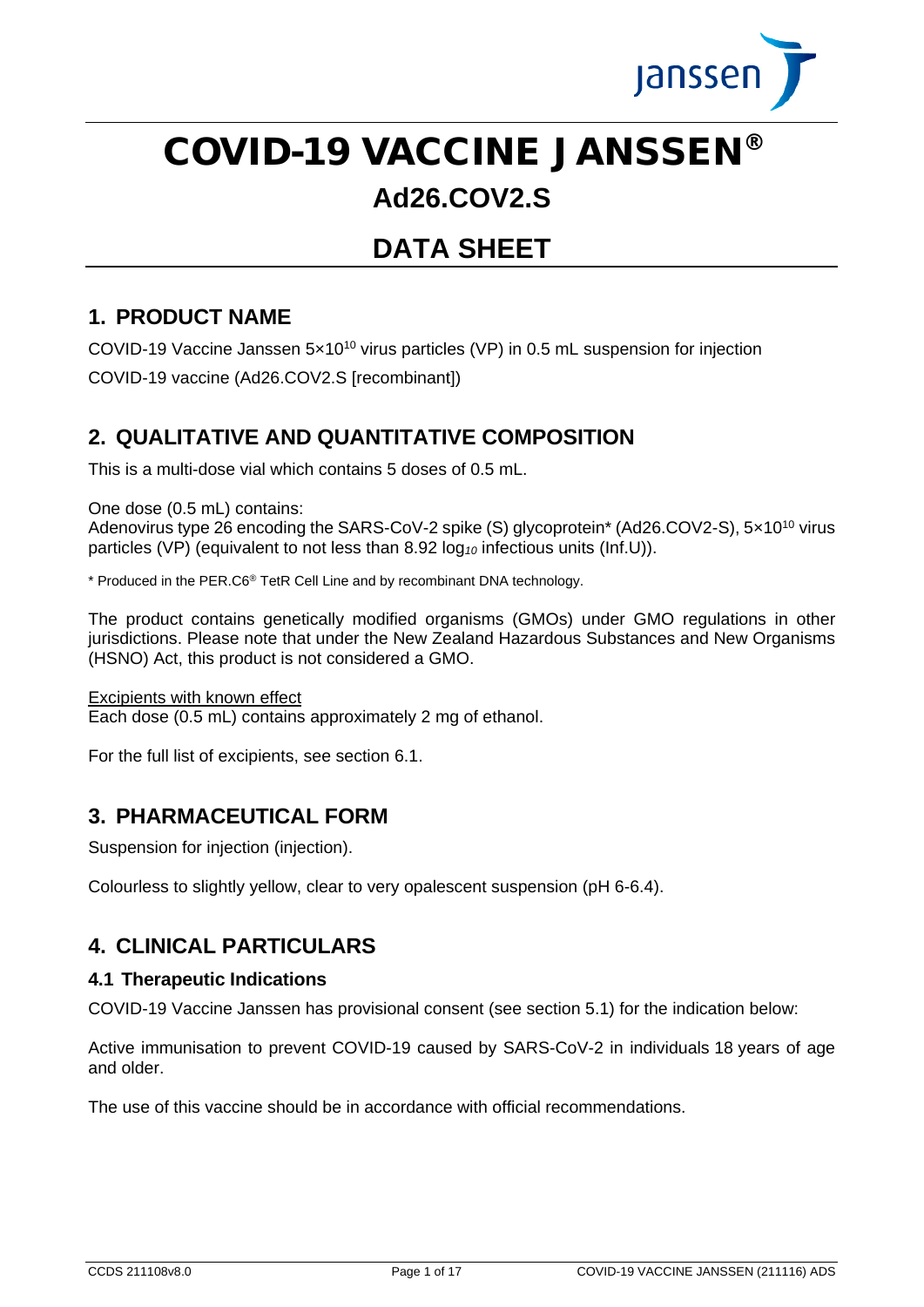

# COVID-19 VACCINE JANSSEN®

# **Ad26.COV2.S**

# **DATA SHEET**

## **1. PRODUCT NAME**

COVID-19 Vaccine Janssen 5x10<sup>10</sup> virus particles (VP) in 0.5 mL suspension for injection COVID-19 vaccine (Ad26.COV2.S [recombinant])

## **2. QUALITATIVE AND QUANTITATIVE COMPOSITION**

This is a multi-dose vial which contains 5 doses of 0.5 mL.

One dose (0.5 mL) contains:

Adenovirus type 26 encoding the SARS-CoV-2 spike (S) glycoprotein\* (Ad26.COV2-S), 5x10<sup>10</sup> virus particles (VP) (equivalent to not less than 8.92 log*<sup>10</sup>* infectious units (Inf.U)).

\* Produced in the PER.C6® TetR Cell Line and by recombinant DNA technology.

The product contains genetically modified organisms (GMOs) under GMO regulations in other jurisdictions. Please note that under the New Zealand Hazardous Substances and New Organisms (HSNO) Act, this product is not considered a GMO.

Excipients with known effect

Each dose (0.5 mL) contains approximately 2 mg of ethanol.

For the full list of excipients, see section 6.1.

## **3. PHARMACEUTICAL FORM**

Suspension for injection (injection).

Colourless to slightly yellow, clear to very opalescent suspension (pH 6-6.4).

## **4. CLINICAL PARTICULARS**

#### **4.1 Therapeutic Indications**

COVID-19 Vaccine Janssen has provisional consent (see section 5.1) for the indication below:

Active immunisation to prevent COVID-19 caused by SARS-CoV-2 in individuals 18 years of age and older.

The use of this vaccine should be in accordance with official recommendations.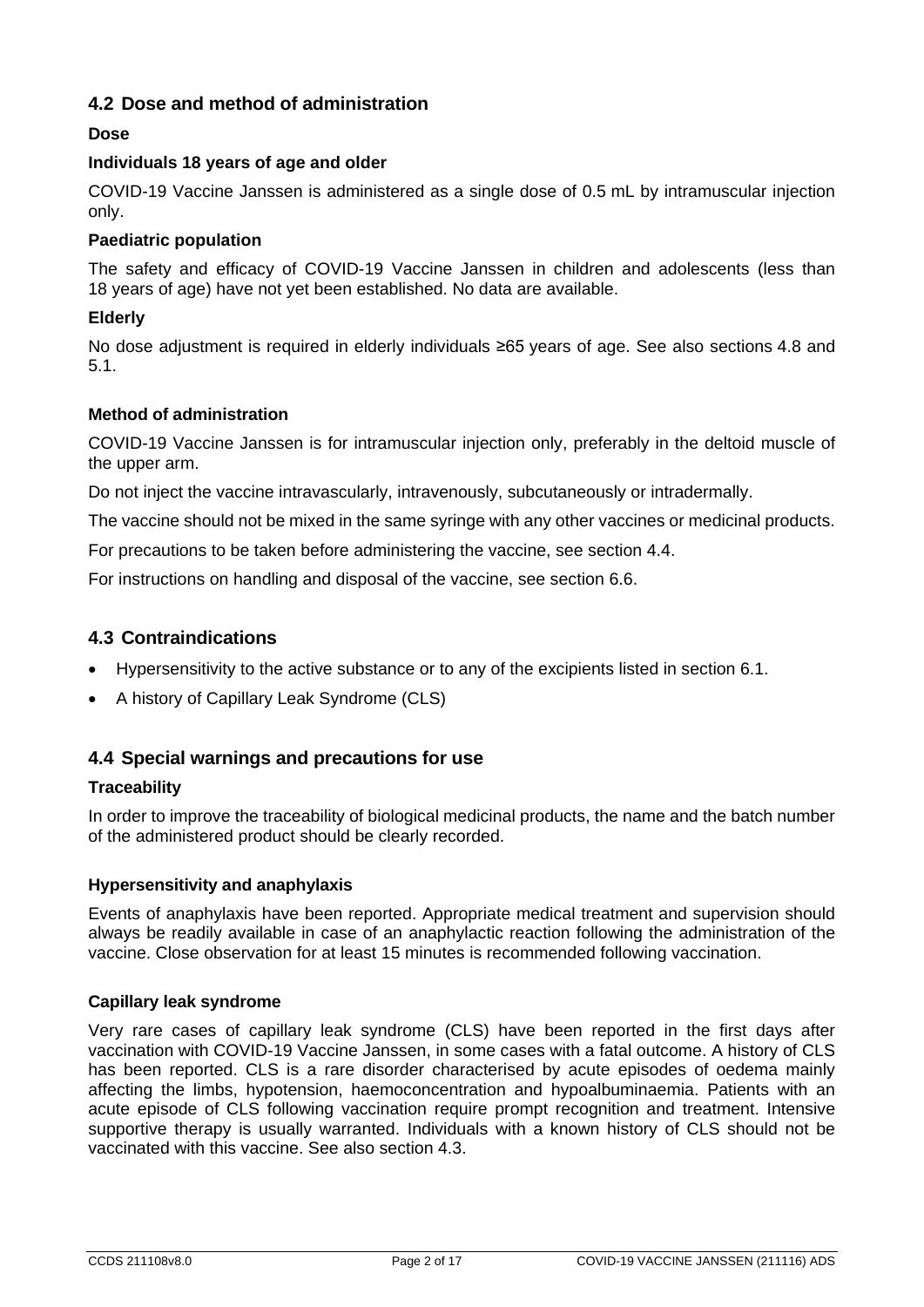#### **4.2 Dose and method of administration**

#### **Dose**

#### **Individuals 18 years of age and older**

COVID-19 Vaccine Janssen is administered as a single dose of 0.5 mL by intramuscular injection only.

#### **Paediatric population**

The safety and efficacy of COVID-19 Vaccine Janssen in children and adolescents (less than 18 years of age) have not yet been established. No data are available.

#### **Elderly**

No dose adjustment is required in elderly individuals ≥65 years of age. See also sections 4.8 and 5.1.

#### **Method of administration**

COVID-19 Vaccine Janssen is for intramuscular injection only, preferably in the deltoid muscle of the upper arm.

Do not inject the vaccine intravascularly, intravenously, subcutaneously or intradermally.

The vaccine should not be mixed in the same syringe with any other vaccines or medicinal products.

For precautions to be taken before administering the vaccine, see section 4.4.

For instructions on handling and disposal of the vaccine, see section 6.6.

#### **4.3 Contraindications**

- Hypersensitivity to the active substance or to any of the excipients listed in section 6.1.
- A history of Capillary Leak Syndrome (CLS)

#### **4.4 Special warnings and precautions for use**

#### **Traceability**

In order to improve the traceability of biological medicinal products, the name and the batch number of the administered product should be clearly recorded.

#### **Hypersensitivity and anaphylaxis**

Events of anaphylaxis have been reported. Appropriate medical treatment and supervision should always be readily available in case of an anaphylactic reaction following the administration of the vaccine. Close observation for at least 15 minutes is recommended following vaccination.

#### **Capillary leak syndrome**

Very rare cases of capillary leak syndrome (CLS) have been reported in the first days after vaccination with COVID-19 Vaccine Janssen, in some cases with a fatal outcome. A history of CLS has been reported. CLS is a rare disorder characterised by acute episodes of oedema mainly affecting the limbs, hypotension, haemoconcentration and hypoalbuminaemia. Patients with an acute episode of CLS following vaccination require prompt recognition and treatment. Intensive supportive therapy is usually warranted. Individuals with a known history of CLS should not be vaccinated with this vaccine. See also section 4.3.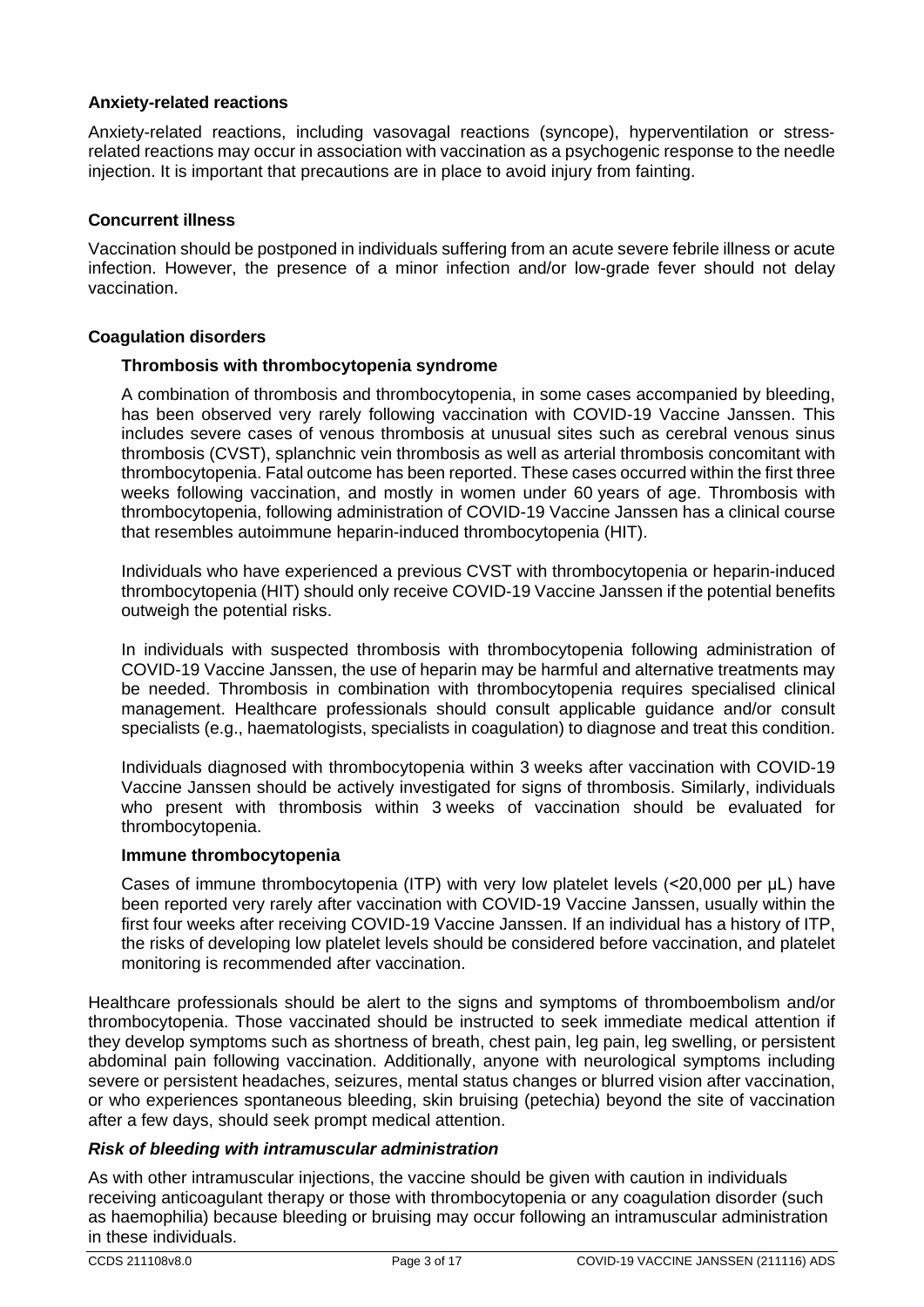#### **Anxiety-related reactions**

Anxiety-related reactions, including vasovagal reactions (syncope), hyperventilation or stress‐ related reactions may occur in association with vaccination as a psychogenic response to the needle injection. It is important that precautions are in place to avoid injury from fainting.

#### **Concurrent illness**

Vaccination should be postponed in individuals suffering from an acute severe febrile illness or acute infection. However, the presence of a minor infection and/or low-grade fever should not delay vaccination.

#### **Coagulation disorders**

#### **Thrombosis with thrombocytopenia syndrome**

A combination of thrombosis and thrombocytopenia, in some cases accompanied by bleeding, has been observed very rarely following vaccination with COVID-19 Vaccine Janssen. This includes severe cases of venous thrombosis at unusual sites such as cerebral venous sinus thrombosis (CVST), splanchnic vein thrombosis as well as arterial thrombosis concomitant with thrombocytopenia. Fatal outcome has been reported. These cases occurred within the first three weeks following vaccination, and mostly in women under 60 years of age. Thrombosis with thrombocytopenia, following administration of COVID-19 Vaccine Janssen has a clinical course that resembles autoimmune heparin-induced thrombocytopenia (HIT).

Individuals who have experienced a previous CVST with thrombocytopenia or heparin-induced thrombocytopenia (HIT) should only receive COVID-19 Vaccine Janssen if the potential benefits outweigh the potential risks.

In individuals with suspected thrombosis with thrombocytopenia following administration of COVID-19 Vaccine Janssen, the use of heparin may be harmful and alternative treatments may be needed. Thrombosis in combination with thrombocytopenia requires specialised clinical management. Healthcare professionals should consult applicable guidance and/or consult specialists (e.g., haematologists, specialists in coagulation) to diagnose and treat this condition.

Individuals diagnosed with thrombocytopenia within 3 weeks after vaccination with COVID-19 Vaccine Janssen should be actively investigated for signs of thrombosis. Similarly, individuals who present with thrombosis within 3 weeks of vaccination should be evaluated for thrombocytopenia.

#### **Immune thrombocytopenia**

Cases of immune thrombocytopenia (ITP) with very low platelet levels (<20,000 per μL) have been reported very rarely after vaccination with COVID-19 Vaccine Janssen, usually within the first four weeks after receiving COVID-19 Vaccine Janssen. If an individual has a history of ITP, the risks of developing low platelet levels should be considered before vaccination, and platelet monitoring is recommended after vaccination.

Healthcare professionals should be alert to the signs and symptoms of thromboembolism and/or thrombocytopenia. Those vaccinated should be instructed to seek immediate medical attention if they develop symptoms such as shortness of breath, chest pain, leg pain, leg swelling, or persistent abdominal pain following vaccination. Additionally, anyone with neurological symptoms including severe or persistent headaches, seizures, mental status changes or blurred vision after vaccination, or who experiences spontaneous bleeding, skin bruising (petechia) beyond the site of vaccination after a few days, should seek prompt medical attention.

#### *Risk of bleeding with intramuscular administration*

As with other intramuscular injections, the vaccine should be given with caution in individuals receiving anticoagulant therapy or those with thrombocytopenia or any coagulation disorder (such as haemophilia) because bleeding or bruising may occur following an intramuscular administration in these individuals.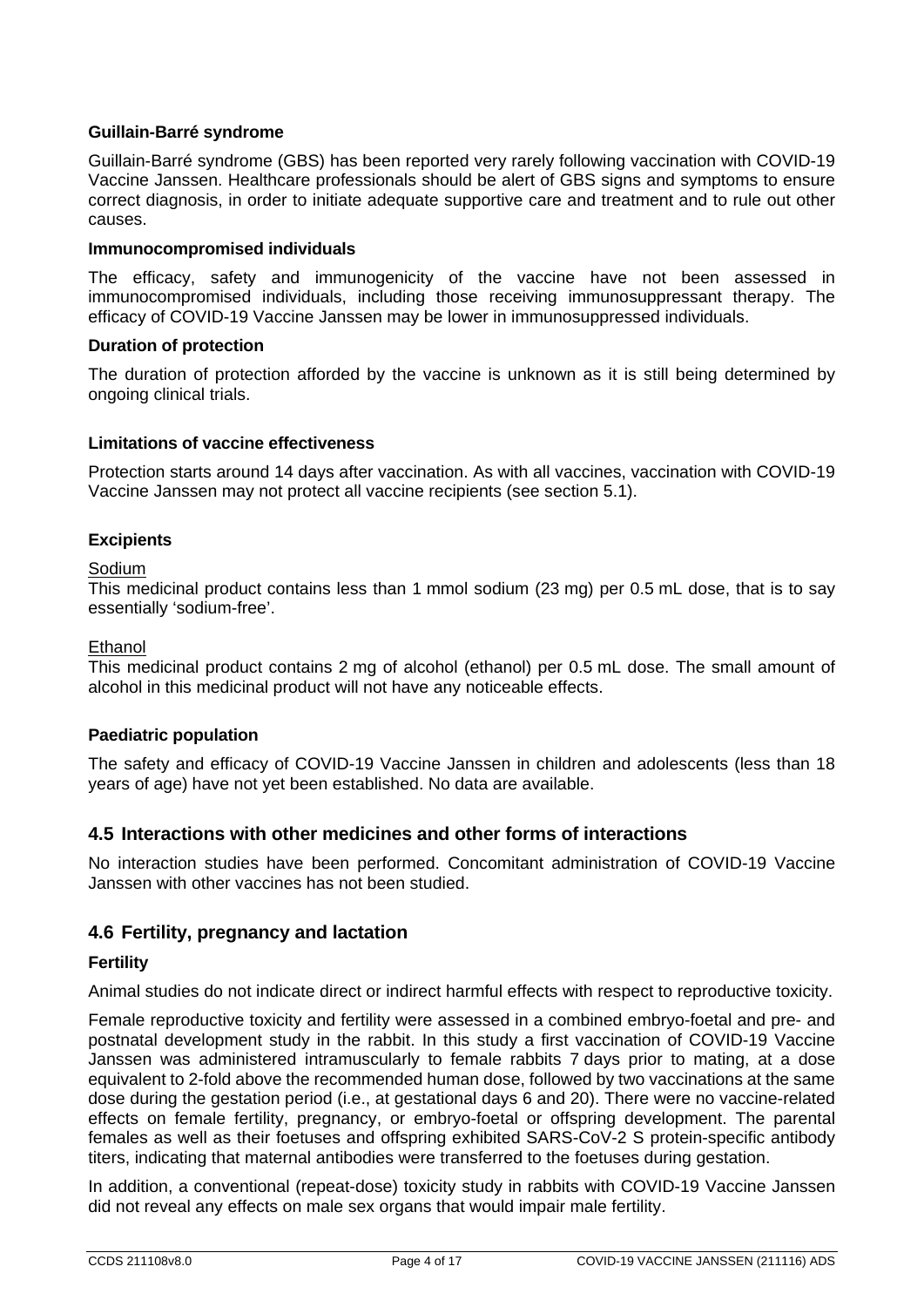#### **Guillain-Barré syndrome**

Guillain-Barré syndrome (GBS) has been reported very rarely following vaccination with COVID-19 Vaccine Janssen. Healthcare professionals should be alert of GBS signs and symptoms to ensure correct diagnosis, in order to initiate adequate supportive care and treatment and to rule out other causes.

#### **Immunocompromised individuals**

The efficacy, safety and immunogenicity of the vaccine have not been assessed in immunocompromised individuals, including those receiving immunosuppressant therapy. The efficacy of COVID-19 Vaccine Janssen may be lower in immunosuppressed individuals.

#### **Duration of protection**

The duration of protection afforded by the vaccine is unknown as it is still being determined by ongoing clinical trials.

#### **Limitations of vaccine effectiveness**

Protection starts around 14 days after vaccination. As with all vaccines, vaccination with COVID-19 Vaccine Janssen may not protect all vaccine recipients (see section 5.1).

#### **Excipients**

#### Sodium

This medicinal product contains less than 1 mmol sodium (23 mg) per 0.5 mL dose, that is to say essentially 'sodium-free'.

#### Ethanol

This medicinal product contains 2 mg of alcohol (ethanol) per 0.5 mL dose. The small amount of alcohol in this medicinal product will not have any noticeable effects.

#### **Paediatric population**

The safety and efficacy of COVID-19 Vaccine Janssen in children and adolescents (less than 18 years of age) have not yet been established. No data are available.

#### **4.5 Interactions with other medicines and other forms of interactions**

No interaction studies have been performed. Concomitant administration of COVID-19 Vaccine Janssen with other vaccines has not been studied.

#### **4.6 Fertility, pregnancy and lactation**

#### **Fertility**

Animal studies do not indicate direct or indirect harmful effects with respect to reproductive toxicity.

Female reproductive toxicity and fertility were assessed in a combined embryo-foetal and pre- and postnatal development study in the rabbit. In this study a first vaccination of COVID-19 Vaccine Janssen was administered intramuscularly to female rabbits 7 days prior to mating, at a dose equivalent to 2-fold above the recommended human dose, followed by two vaccinations at the same dose during the gestation period (i.e., at gestational days 6 and 20). There were no vaccine-related effects on female fertility, pregnancy, or embryo-foetal or offspring development. The parental females as well as their foetuses and offspring exhibited SARS-CoV-2 S protein-specific antibody titers, indicating that maternal antibodies were transferred to the foetuses during gestation.

In addition, a conventional (repeat-dose) toxicity study in rabbits with COVID-19 Vaccine Janssen did not reveal any effects on male sex organs that would impair male fertility.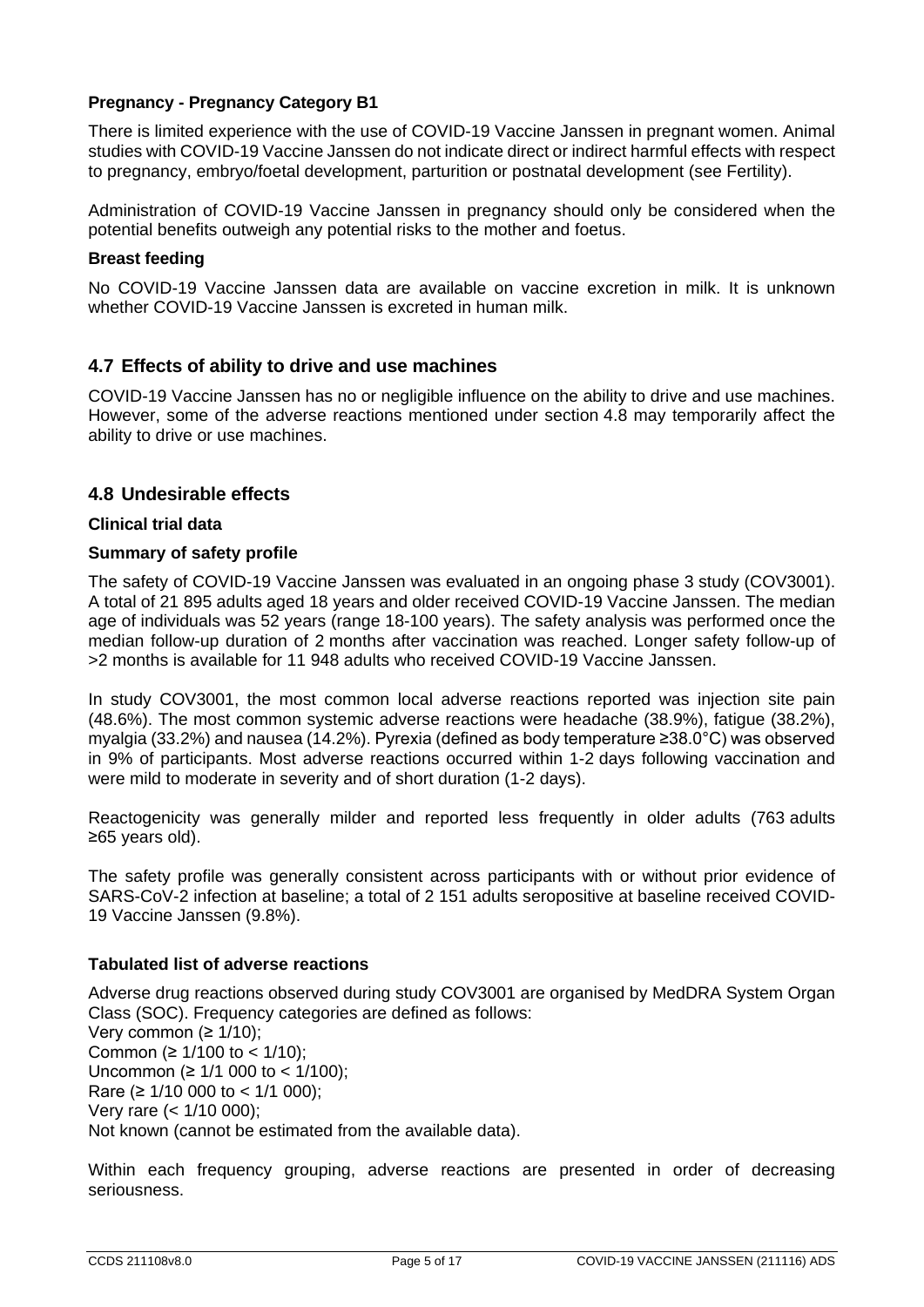#### **Pregnancy - Pregnancy Category B1**

There is limited experience with the use of COVID-19 Vaccine Janssen in pregnant women. Animal studies with COVID-19 Vaccine Janssen do not indicate direct or indirect harmful effects with respect to pregnancy, embryo/foetal development, parturition or postnatal development (see Fertility).

Administration of COVID-19 Vaccine Janssen in pregnancy should only be considered when the potential benefits outweigh any potential risks to the mother and foetus.

#### **Breast feeding**

No COVID-19 Vaccine Janssen data are available on vaccine excretion in milk. It is unknown whether COVID-19 Vaccine Janssen is excreted in human milk.

#### **4.7 Effects of ability to drive and use machines**

COVID-19 Vaccine Janssen has no or negligible influence on the ability to drive and use machines. However, some of the adverse reactions mentioned under section 4.8 may temporarily affect the ability to drive or use machines.

#### **4.8 Undesirable effects**

#### **Clinical trial data**

#### **Summary of safety profile**

The safety of COVID-19 Vaccine Janssen was evaluated in an ongoing phase 3 study (COV3001). A total of 21 895 adults aged 18 years and older received COVID-19 Vaccine Janssen. The median age of individuals was 52 years (range 18-100 years). The safety analysis was performed once the median follow-up duration of 2 months after vaccination was reached. Longer safety follow-up of >2 months is available for 11 948 adults who received COVID-19 Vaccine Janssen.

In study COV3001, the most common local adverse reactions reported was injection site pain (48.6%). The most common systemic adverse reactions were headache (38.9%), fatigue (38.2%), myalgia (33.2%) and nausea (14.2%). Pyrexia (defined as body temperature ≥38.0°C) was observed in 9% of participants. Most adverse reactions occurred within 1-2 days following vaccination and were mild to moderate in severity and of short duration (1-2 days).

Reactogenicity was generally milder and reported less frequently in older adults (763 adults ≥65 years old).

The safety profile was generally consistent across participants with or without prior evidence of SARS-CoV-2 infection at baseline; a total of 2 151 adults seropositive at baseline received COVID-19 Vaccine Janssen (9.8%).

#### **Tabulated list of adverse reactions**

Adverse drug reactions observed during study COV3001 are organised by MedDRA System Organ Class (SOC). Frequency categories are defined as follows: Very common  $(≥ 1/10)$ : Common (≥  $1/100$  to <  $1/10$ ); Uncommon (≥ 1/1 000 to < 1/100); Rare (≥ 1/10 000 to < 1/1 000); Very rare (< 1/10 000); Not known (cannot be estimated from the available data).

Within each frequency grouping, adverse reactions are presented in order of decreasing seriousness.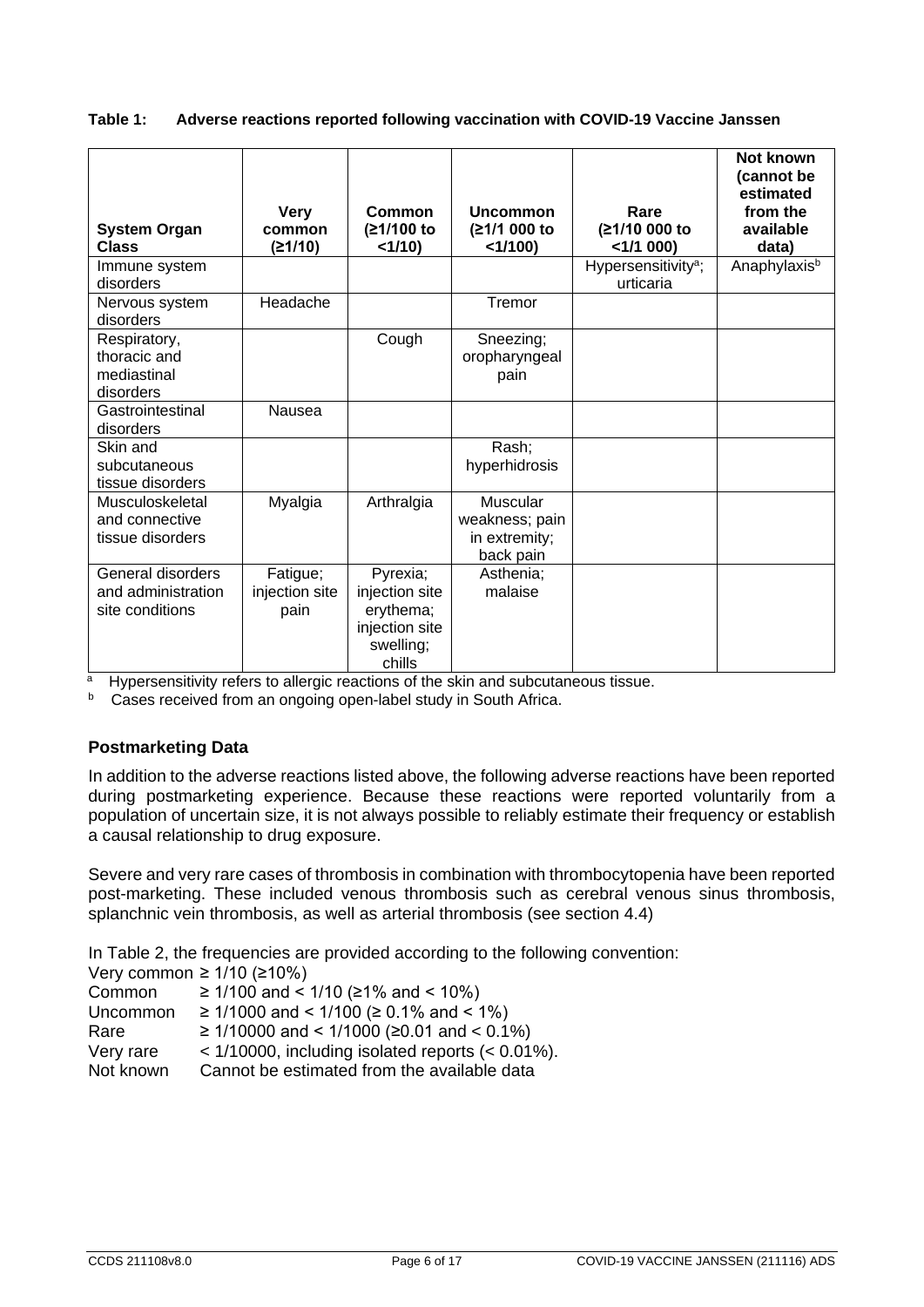#### **Table 1: Adverse reactions reported following vaccination with COVID-19 Vaccine Janssen**

| <b>System Organ</b><br><b>Class</b>                        | <b>Very</b><br>common<br>(≥1/10)   | Common<br>(≥1/100 to<br><1/10                                                    | <b>Uncommon</b><br>(≥1/1 000 to<br><1/100                | Rare<br>(≥1/10 000 to<br>$<$ 1/1 000)        | Not known<br>(cannot be<br>estimated<br>from the<br>available<br>data) |
|------------------------------------------------------------|------------------------------------|----------------------------------------------------------------------------------|----------------------------------------------------------|----------------------------------------------|------------------------------------------------------------------------|
| Immune system<br>disorders                                 |                                    |                                                                                  |                                                          | Hypersensitivity <sup>a</sup> ;<br>urticaria | Anaphylaxis <sup>b</sup>                                               |
| Nervous system<br>disorders                                | Headache                           |                                                                                  | Tremor                                                   |                                              |                                                                        |
| Respiratory,<br>thoracic and<br>mediastinal<br>disorders   |                                    | Cough                                                                            | Sneezing;<br>oropharyngeal<br>pain                       |                                              |                                                                        |
| Gastrointestinal<br>disorders                              | Nausea                             |                                                                                  |                                                          |                                              |                                                                        |
| Skin and<br>subcutaneous<br>tissue disorders               |                                    |                                                                                  | Rash;<br>hyperhidrosis                                   |                                              |                                                                        |
| Musculoskeletal<br>and connective<br>tissue disorders      | Myalgia                            | Arthralgia                                                                       | Muscular<br>weakness; pain<br>in extremity;<br>back pain |                                              |                                                                        |
| General disorders<br>and administration<br>site conditions | Fatigue;<br>injection site<br>pain | Pyrexia;<br>injection site<br>erythema;<br>injection site<br>swelling;<br>chills | Asthenia:<br>malaise                                     |                                              |                                                                        |

a Hypersensitivity refers to allergic reactions of the skin and subcutaneous tissue.

b Cases received from an ongoing open-label study in South Africa.

#### **Postmarketing Data**

In addition to the adverse reactions listed above, the following adverse reactions have been reported during postmarketing experience. Because these reactions were reported voluntarily from a population of uncertain size, it is not always possible to reliably estimate their frequency or establish a causal relationship to drug exposure.

Severe and very rare cases of thrombosis in combination with thrombocytopenia have been reported post-marketing. These included venous thrombosis such as cerebral venous sinus thrombosis, splanchnic vein thrombosis, as well as arterial thrombosis (see section 4.4)

In Table 2, the frequencies are provided according to the following convention:

Very common ≥ 1/10 (≥10%)

| Common   | ≥ 1/100 and < 1/10 (≥1% and < 10%)     |
|----------|----------------------------------------|
| Uncommon | ≥ 1/1000 and < 1/100 (≥ 0.1% and < 1%) |

Rare ≥ 1/10000 and < 1/1000 (≥0.01 and < 0.1%)

Very rare  $\leq 1/10000$ , including isolated reports  $(< 0.01\%)$ .<br>Not known Cannot be estimated from the available data Cannot be estimated from the available data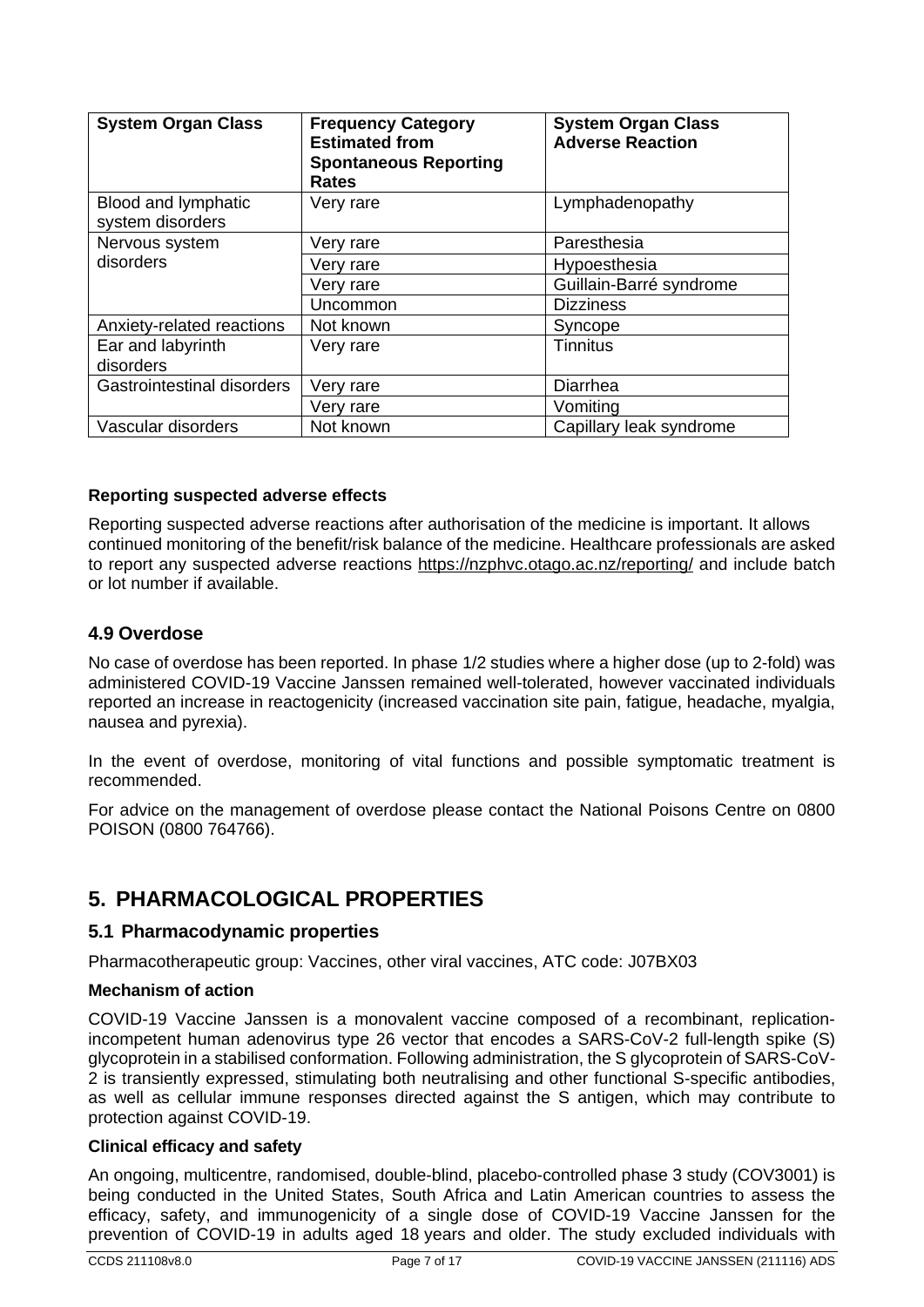| <b>System Organ Class</b>               | <b>Frequency Category</b><br><b>Estimated from</b><br><b>Spontaneous Reporting</b><br><b>Rates</b> | <b>System Organ Class</b><br><b>Adverse Reaction</b> |
|-----------------------------------------|----------------------------------------------------------------------------------------------------|------------------------------------------------------|
| Blood and lymphatic<br>system disorders | Very rare                                                                                          | Lymphadenopathy                                      |
| Nervous system                          | Very rare                                                                                          | Paresthesia                                          |
| disorders                               | Very rare                                                                                          | Hypoesthesia                                         |
|                                         | Very rare                                                                                          | Guillain-Barré syndrome                              |
|                                         | Uncommon                                                                                           | <b>Dizziness</b>                                     |
| Anxiety-related reactions               | Not known                                                                                          | Syncope                                              |
| Ear and labyrinth<br>disorders          | Very rare                                                                                          | <b>Tinnitus</b>                                      |
| Gastrointestinal disorders              | Very rare                                                                                          | Diarrhea                                             |
|                                         | Very rare                                                                                          | Vomiting                                             |
| Vascular disorders                      | Not known                                                                                          | Capillary leak syndrome                              |

#### **Reporting suspected adverse effects**

Reporting suspected adverse reactions after authorisation of the medicine is important. It allows continued monitoring of the benefit/risk balance of the medicine. Healthcare professionals are asked to report any suspected adverse reactions<https://nzphvc.otago.ac.nz/reporting/> and include batch or lot number if available.

#### **4.9 Overdose**

No case of overdose has been reported. In phase 1/2 studies where a higher dose (up to 2-fold) was administered COVID-19 Vaccine Janssen remained well-tolerated, however vaccinated individuals reported an increase in reactogenicity (increased vaccination site pain, fatigue, headache, myalgia, nausea and pyrexia).

In the event of overdose, monitoring of vital functions and possible symptomatic treatment is recommended.

For advice on the management of overdose please contact the National Poisons Centre on 0800 POISON (0800 764766).

## **5. PHARMACOLOGICAL PROPERTIES**

#### **5.1 Pharmacodynamic properties**

Pharmacotherapeutic group: Vaccines, other viral vaccines, ATC code: J07BX03

#### **Mechanism of action**

COVID-19 Vaccine Janssen is a monovalent vaccine composed of a recombinant, replicationincompetent human adenovirus type 26 vector that encodes a SARS-CoV-2 full-length spike (S) glycoprotein in a stabilised conformation. Following administration, the S glycoprotein of SARS-CoV-2 is transiently expressed, stimulating both neutralising and other functional S-specific antibodies, as well as cellular immune responses directed against the S antigen, which may contribute to protection against COVID-19.

#### **Clinical efficacy and safety**

An ongoing, multicentre, randomised, double-blind, placebo-controlled phase 3 study (COV3001) is being conducted in the United States, South Africa and Latin American countries to assess the efficacy, safety, and immunogenicity of a single dose of COVID-19 Vaccine Janssen for the prevention of COVID-19 in adults aged 18 years and older. The study excluded individuals with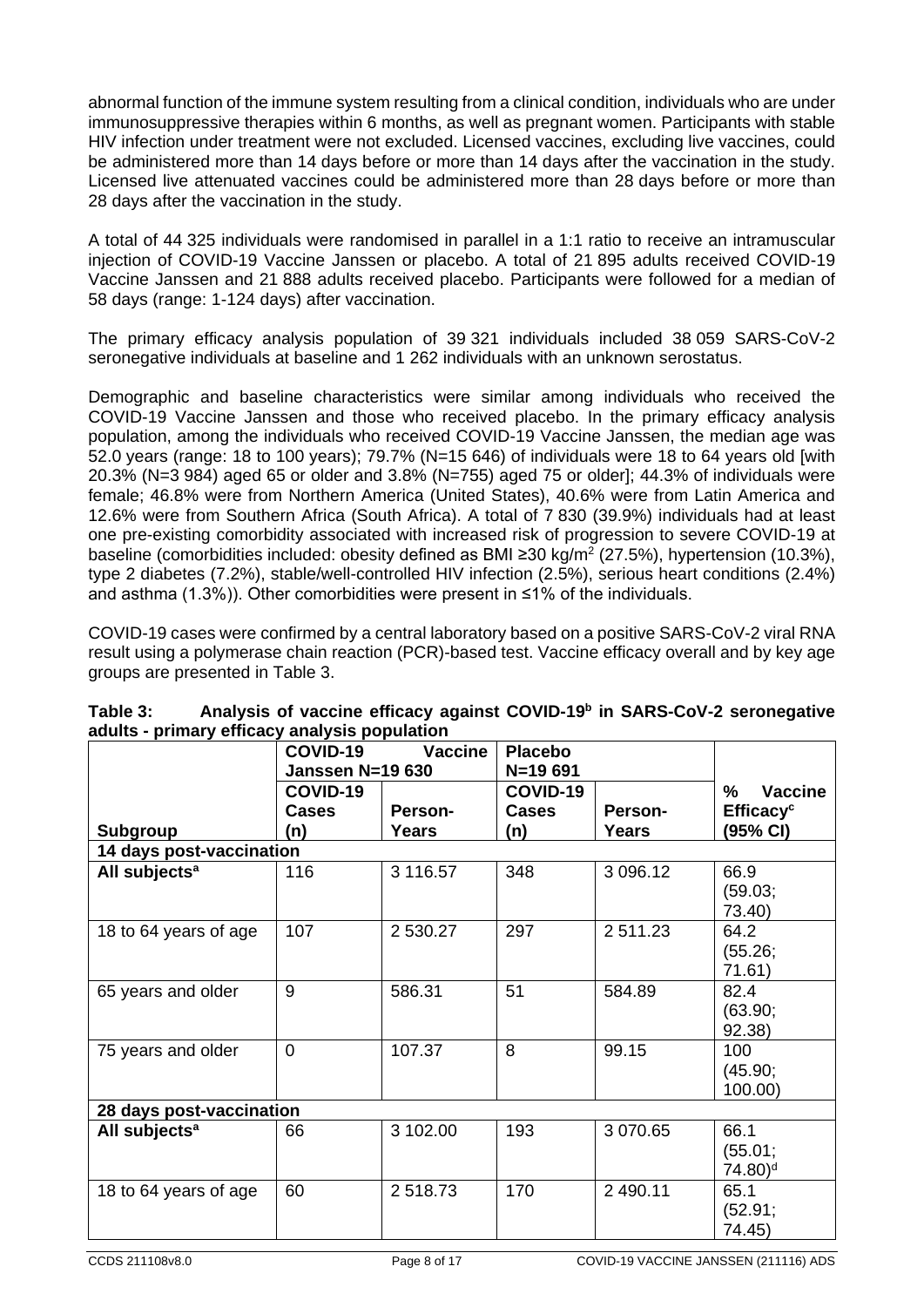abnormal function of the immune system resulting from a clinical condition, individuals who are under immunosuppressive therapies within 6 months, as well as pregnant women. Participants with stable HIV infection under treatment were not excluded. Licensed vaccines, excluding live vaccines, could be administered more than 14 days before or more than 14 days after the vaccination in the study. Licensed live attenuated vaccines could be administered more than 28 days before or more than 28 days after the vaccination in the study.

A total of 44 325 individuals were randomised in parallel in a 1:1 ratio to receive an intramuscular injection of COVID-19 Vaccine Janssen or placebo. A total of 21 895 adults received COVID-19 Vaccine Janssen and 21 888 adults received placebo. Participants were followed for a median of 58 days (range: 1-124 days) after vaccination.

The primary efficacy analysis population of 39 321 individuals included 38 059 SARS-CoV-2 seronegative individuals at baseline and 1 262 individuals with an unknown serostatus.

Demographic and baseline characteristics were similar among individuals who received the COVID-19 Vaccine Janssen and those who received placebo. In the primary efficacy analysis population, among the individuals who received COVID-19 Vaccine Janssen, the median age was 52.0 years (range: 18 to 100 years); 79.7% (N=15 646) of individuals were 18 to 64 years old [with 20.3% (N=3 984) aged 65 or older and 3.8% (N=755) aged 75 or older]; 44.3% of individuals were female; 46.8% were from Northern America (United States), 40.6% were from Latin America and 12.6% were from Southern Africa (South Africa). A total of 7 830 (39.9%) individuals had at least one pre-existing comorbidity associated with increased risk of progression to severe COVID-19 at baseline (comorbidities included: obesity defined as BMI ≥30 kg/m<sup>2</sup> (27.5%), hypertension (10.3%), type 2 diabetes (7.2%), stable/well-controlled HIV infection (2.5%), serious heart conditions (2.4%) and asthma (1.3%)). Other comorbidities were present in ≤1% of the individuals.

COVID-19 cases were confirmed by a central laboratory based on a positive SARS-CoV-2 viral RNA result using a polymerase chain reaction (PCR)-based test. Vaccine efficacy overall and by key age groups are presented in Table 3.

|                           | <b>COVID-19</b><br><b>Janssen N=19 630</b> | <b>Vaccine</b> | <b>Placebo</b><br>N=19 691 |              |                                          |
|---------------------------|--------------------------------------------|----------------|----------------------------|--------------|------------------------------------------|
|                           | COVID-19<br><b>Cases</b>                   | Person-        | COVID-19<br><b>Cases</b>   | Person-      | Vaccine<br>$\%$<br>Efficacy <sup>c</sup> |
| <b>Subgroup</b>           | (n)                                        | <b>Years</b>   | (n)                        | <b>Years</b> | (95% CI)                                 |
| 14 days post-vaccination  |                                            |                |                            |              |                                          |
| All subjects <sup>a</sup> | 116                                        | 3 116.57       | 348                        | 3 096.12     | 66.9<br>(59.03;<br>73.40)                |
| 18 to 64 years of age     | 107                                        | 2 530.27       | 297                        | 2 511.23     | 64.2<br>(55.26;<br>71.61)                |
| 65 years and older        | 9                                          | 586.31         | 51                         | 584.89       | 82.4<br>(63.90;<br>92.38)                |
| 75 years and older        | $\overline{0}$                             | 107.37         | 8                          | 99.15        | 100<br>(45.90;<br>100.00)                |
| 28 days post-vaccination  |                                            |                |                            |              |                                          |
| All subjects <sup>a</sup> | 66                                         | 3 102.00       | 193                        | 3 070.65     | 66.1<br>(55.01;<br>74.80) <sup>d</sup>   |
| 18 to 64 years of age     | 60                                         | 2518.73        | 170                        | 2 490.11     | 65.1<br>(52.91;<br>74.45)                |

| Table 3: | Analysis of vaccine efficacy against COVID-19 <sup>b</sup> in SARS-CoV-2 seronegative |
|----------|---------------------------------------------------------------------------------------|
|          | adults - primary efficacy analysis population                                         |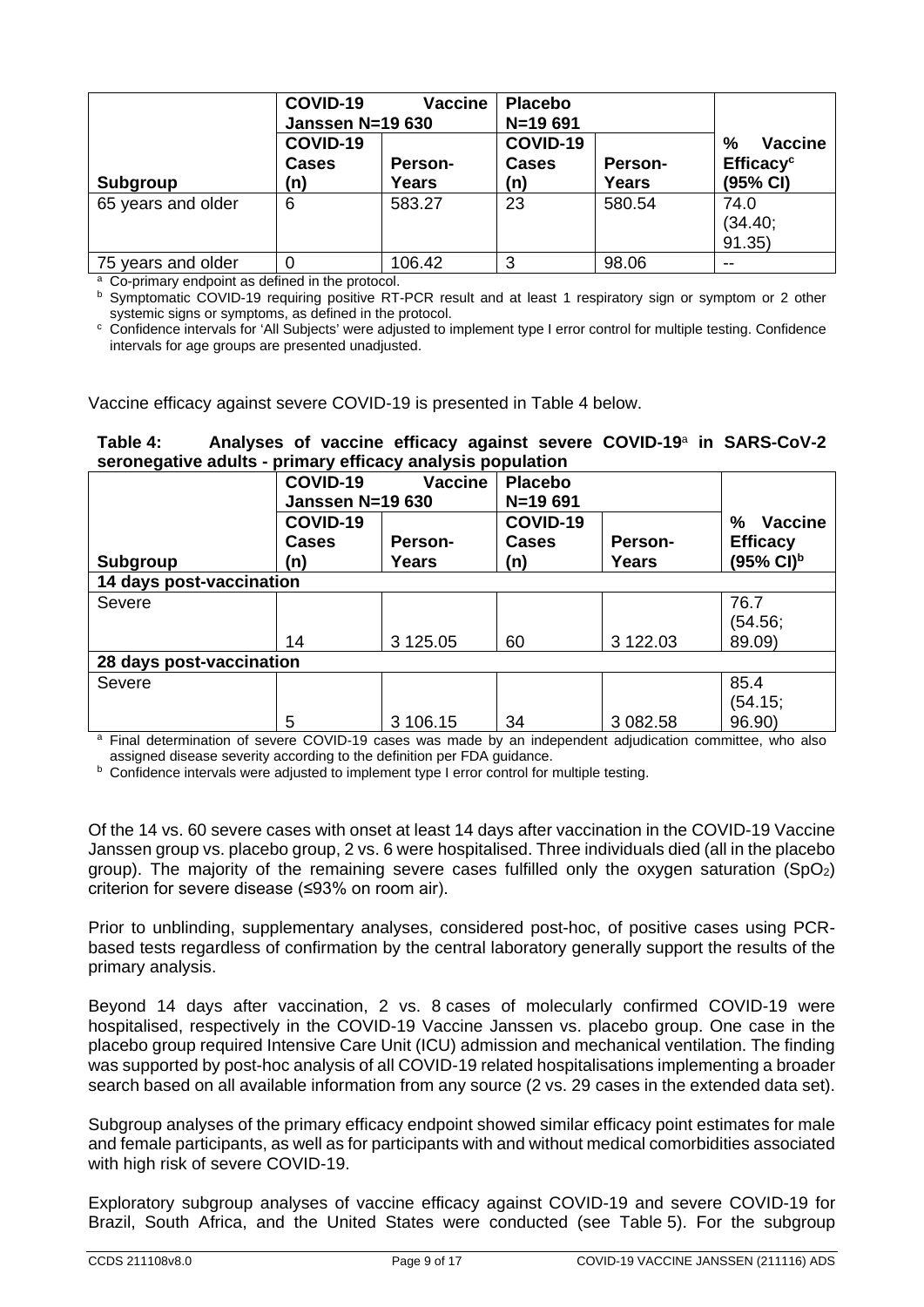|                    | COVID-19<br>Janssen N=19 630    | <b>Vaccine</b>   | <b>Placebo</b><br>$N=19691$     |                  |                                                          |
|--------------------|---------------------------------|------------------|---------------------------------|------------------|----------------------------------------------------------|
| Subgroup           | COVID-19<br><b>Cases</b><br>(n) | Person-<br>Years | COVID-19<br><b>Cases</b><br>(n) | Person-<br>Years | %<br><b>Vaccine</b><br>Efficacy <sup>c</sup><br>(95% CI) |
| 65 years and older | 6                               | 583.27           | 23                              | 580.54           | 74.0<br>(34.40;<br>91.35)                                |
| 75 years and older | 0                               | 106.42           | 3                               | 98.06            |                                                          |

<sup>a</sup> Co-primary endpoint as defined in the protocol.

<sup>b</sup> Symptomatic COVID-19 requiring positive RT-PCR result and at least 1 respiratory sign or symptom or 2 other systemic signs or symptoms, as defined in the protocol.

<sup>c</sup> Confidence intervals for 'All Subjects' were adjusted to implement type I error control for multiple testing. Confidence intervals for age groups are presented unadjusted.

Vaccine efficacy against severe COVID-19 is presented in Table 4 below.

#### **Table 4: Analyses of vaccine efficacy against severe COVID-19**<sup>a</sup> **in SARS-CoV-2 seronegative adults - primary efficacy analysis population**

| COVID-19                 | <b>Vaccine</b>   | <b>Placebo</b><br>$N=19691$                     |                  |                                                                 |
|--------------------------|------------------|-------------------------------------------------|------------------|-----------------------------------------------------------------|
| COVID-19<br>Cases<br>(n) | Person-<br>Years | COVID-19<br><b>Cases</b><br>(n)                 | Person-<br>Years | <b>Vaccine</b><br>%<br><b>Efficacy</b><br>$(95\% \text{ Cl})^b$ |
| 14 days post-vaccination |                  |                                                 |                  |                                                                 |
|                          |                  |                                                 |                  | 76.7<br>(54.56;                                                 |
| 14                       |                  | 60                                              |                  | 89.09)                                                          |
| 28 days post-vaccination |                  |                                                 |                  |                                                                 |
|                          |                  |                                                 |                  | 85.4<br>(54.15)<br>96.90)                                       |
|                          | 5                | <b>Janssen N=19 630</b><br>3 125.05<br>3 106.15 | 34               | 3 122.03<br>3 082.58                                            |

<sup>a</sup> Final determination of severe COVID-19 cases was made by an independent adjudication committee, who also assigned disease severity according to the definition per FDA guidance.

**b** Confidence intervals were adjusted to implement type I error control for multiple testing.

Of the 14 vs. 60 severe cases with onset at least 14 days after vaccination in the COVID-19 Vaccine Janssen group vs. placebo group, 2 vs. 6 were hospitalised. Three individuals died (all in the placebo group). The majority of the remaining severe cases fulfilled only the oxygen saturation  $(SpO<sub>2</sub>)$ criterion for severe disease (≤93% on room air).

Prior to unblinding, supplementary analyses, considered post-hoc, of positive cases using PCRbased tests regardless of confirmation by the central laboratory generally support the results of the primary analysis.

Beyond 14 days after vaccination, 2 vs. 8 cases of molecularly confirmed COVID-19 were hospitalised, respectively in the COVID-19 Vaccine Janssen vs. placebo group. One case in the placebo group required Intensive Care Unit (ICU) admission and mechanical ventilation. The finding was supported by post-hoc analysis of all COVID-19 related hospitalisations implementing a broader search based on all available information from any source (2 vs. 29 cases in the extended data set).

Subgroup analyses of the primary efficacy endpoint showed similar efficacy point estimates for male and female participants, as well as for participants with and without medical comorbidities associated with high risk of severe COVID-19.

Exploratory subgroup analyses of vaccine efficacy against COVID-19 and severe COVID-19 for Brazil, South Africa, and the United States were conducted (see Table 5). For the subgroup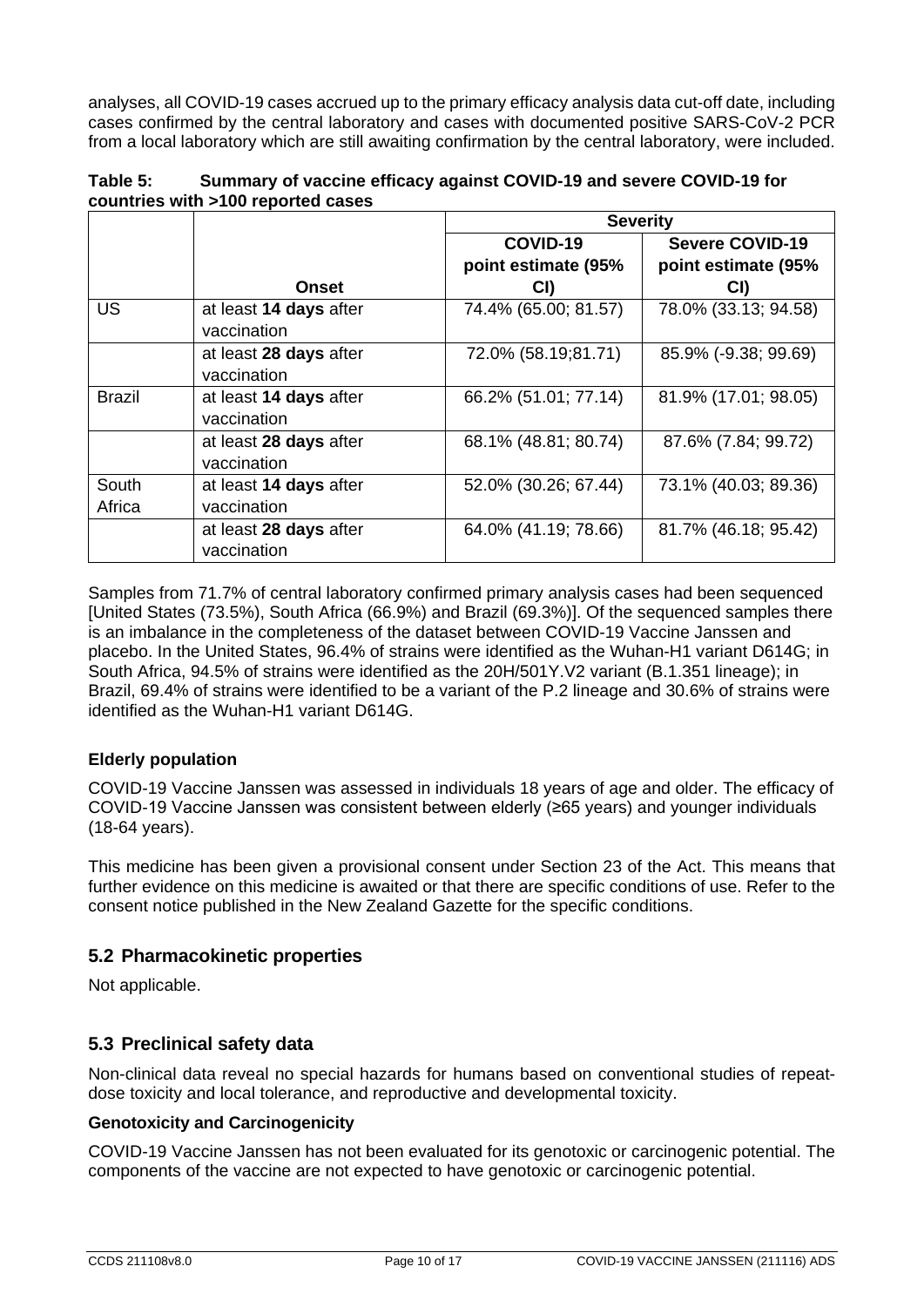analyses, all COVID-19 cases accrued up to the primary efficacy analysis data cut-off date, including cases confirmed by the central laboratory and cases with documented positive SARS-CoV-2 PCR from a local laboratory which are still awaiting confirmation by the central laboratory, were included.

| Table 5: | Summary of vaccine efficacy against COVID-19 and severe COVID-19 for |
|----------|----------------------------------------------------------------------|
|          | countries with >100 reported cases                                   |

|               |                        | <b>Severity</b>      |                        |  |
|---------------|------------------------|----------------------|------------------------|--|
|               |                        | COVID-19             | <b>Severe COVID-19</b> |  |
|               |                        | point estimate (95%  | point estimate (95%    |  |
|               | <b>Onset</b>           | CI)                  | CI)                    |  |
| <b>US</b>     | at least 14 days after | 74.4% (65.00; 81.57) | 78.0% (33.13; 94.58)   |  |
|               | vaccination            |                      |                        |  |
|               | at least 28 days after | 72.0% (58.19;81.71)  | 85.9% (-9.38; 99.69)   |  |
|               | vaccination            |                      |                        |  |
| <b>Brazil</b> | at least 14 days after | 66.2% (51.01; 77.14) | 81.9% (17.01; 98.05)   |  |
|               | vaccination            |                      |                        |  |
|               | at least 28 days after | 68.1% (48.81; 80.74) | 87.6% (7.84; 99.72)    |  |
|               | vaccination            |                      |                        |  |
| South         | at least 14 days after | 52.0% (30.26; 67.44) | 73.1% (40.03; 89.36)   |  |
| Africa        | vaccination            |                      |                        |  |
|               | at least 28 days after | 64.0% (41.19; 78.66) | 81.7% (46.18; 95.42)   |  |
|               | vaccination            |                      |                        |  |

Samples from 71.7% of central laboratory confirmed primary analysis cases had been sequenced [United States (73.5%), South Africa (66.9%) and Brazil (69.3%)]. Of the sequenced samples there is an imbalance in the completeness of the dataset between COVID-19 Vaccine Janssen and placebo. In the United States, 96.4% of strains were identified as the Wuhan-H1 variant D614G; in South Africa, 94.5% of strains were identified as the 20H/501Y.V2 variant (B.1.351 lineage); in Brazil, 69.4% of strains were identified to be a variant of the P.2 lineage and 30.6% of strains were identified as the Wuhan-H1 variant D614G.

#### **Elderly population**

COVID-19 Vaccine Janssen was assessed in individuals 18 years of age and older. The efficacy of COVID-19 Vaccine Janssen was consistent between elderly (≥65 years) and younger individuals (18-64 years).

This medicine has been given a provisional consent under Section 23 of the Act. This means that further evidence on this medicine is awaited or that there are specific conditions of use. Refer to the consent notice published in the New Zealand Gazette for the specific conditions.

#### **5.2 Pharmacokinetic properties**

Not applicable.

#### **5.3 Preclinical safety data**

Non-clinical data reveal no special hazards for humans based on conventional studies of repeatdose toxicity and local tolerance, and reproductive and developmental toxicity.

#### **Genotoxicity and Carcinogenicity**

COVID-19 Vaccine Janssen has not been evaluated for its genotoxic or carcinogenic potential. The components of the vaccine are not expected to have genotoxic or carcinogenic potential.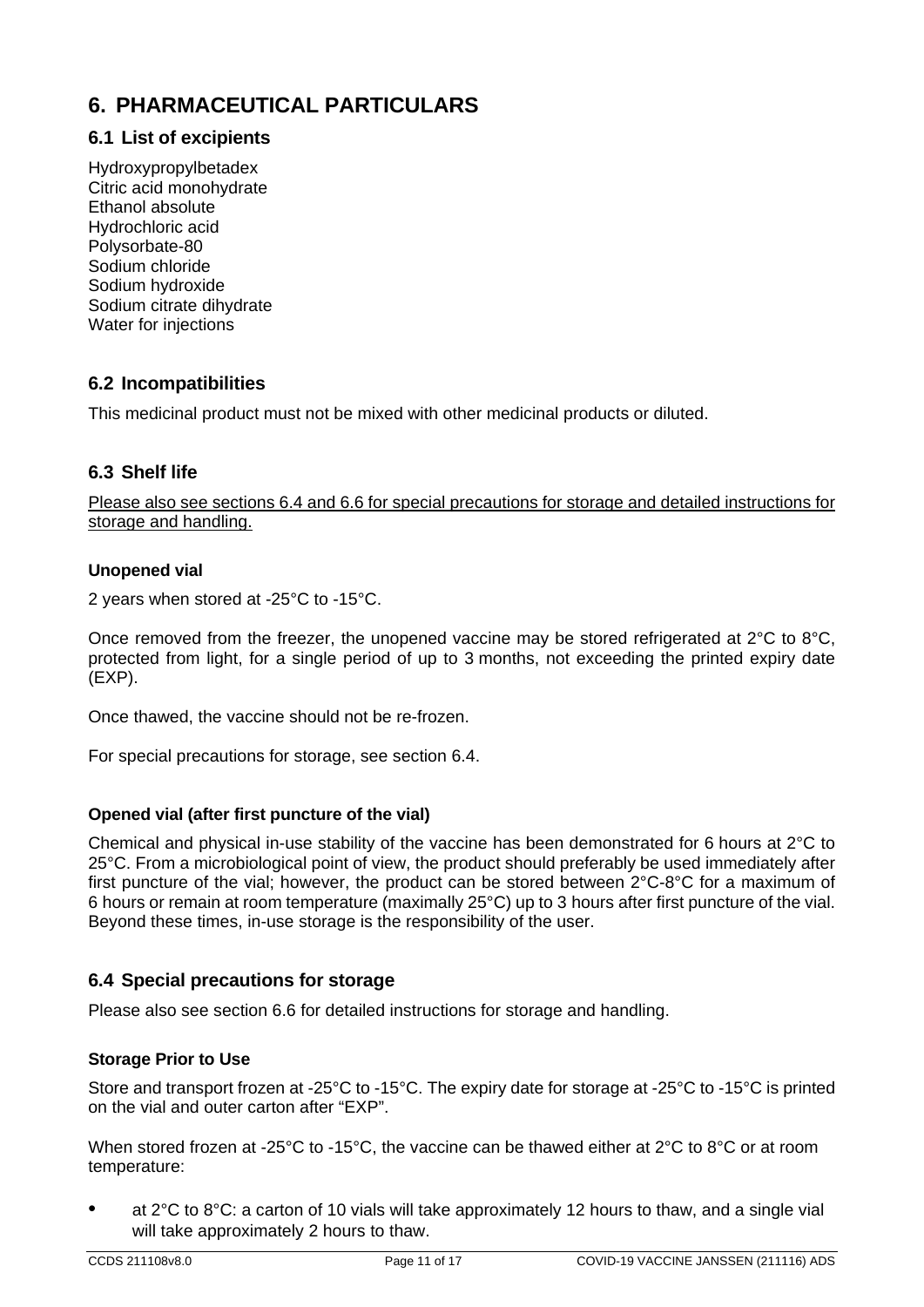## **6. PHARMACEUTICAL PARTICULARS**

## **6.1 List of excipients**

Hydroxypropylbetadex Citric acid monohydrate Ethanol absolute Hydrochloric acid Polysorbate-80 Sodium chloride Sodium hydroxide Sodium citrate dihydrate Water for injections

#### **6.2 Incompatibilities**

This medicinal product must not be mixed with other medicinal products or diluted.

#### **6.3 Shelf life**

Please also see sections 6.4 and 6.6 for special precautions for storage and detailed instructions for storage and handling.

#### **Unopened vial**

2 years when stored at -25°C to -15°C.

Once removed from the freezer, the unopened vaccine may be stored refrigerated at 2°C to 8°C, protected from light, for a single period of up to 3 months, not exceeding the printed expiry date (EXP).

Once thawed, the vaccine should not be re-frozen.

For special precautions for storage, see section 6.4.

#### **Opened vial (after first puncture of the vial)**

Chemical and physical in-use stability of the vaccine has been demonstrated for 6 hours at 2°C to 25°C. From a microbiological point of view, the product should preferably be used immediately after first puncture of the vial; however, the product can be stored between 2°C-8°C for a maximum of 6 hours or remain at room temperature (maximally 25°C) up to 3 hours after first puncture of the vial. Beyond these times, in-use storage is the responsibility of the user.

#### **6.4 Special precautions for storage**

Please also see section 6.6 for detailed instructions for storage and handling.

#### **Storage Prior to Use**

Store and transport frozen at -25°C to -15°C. The expiry date for storage at -25°C to -15°C is printed on the vial and outer carton after "EXP".

When stored frozen at -25°C to -15°C, the vaccine can be thawed either at 2°C to 8°C or at room temperature:

• at 2°C to 8°C: a carton of 10 vials will take approximately 12 hours to thaw, and a single vial will take approximately 2 hours to thaw.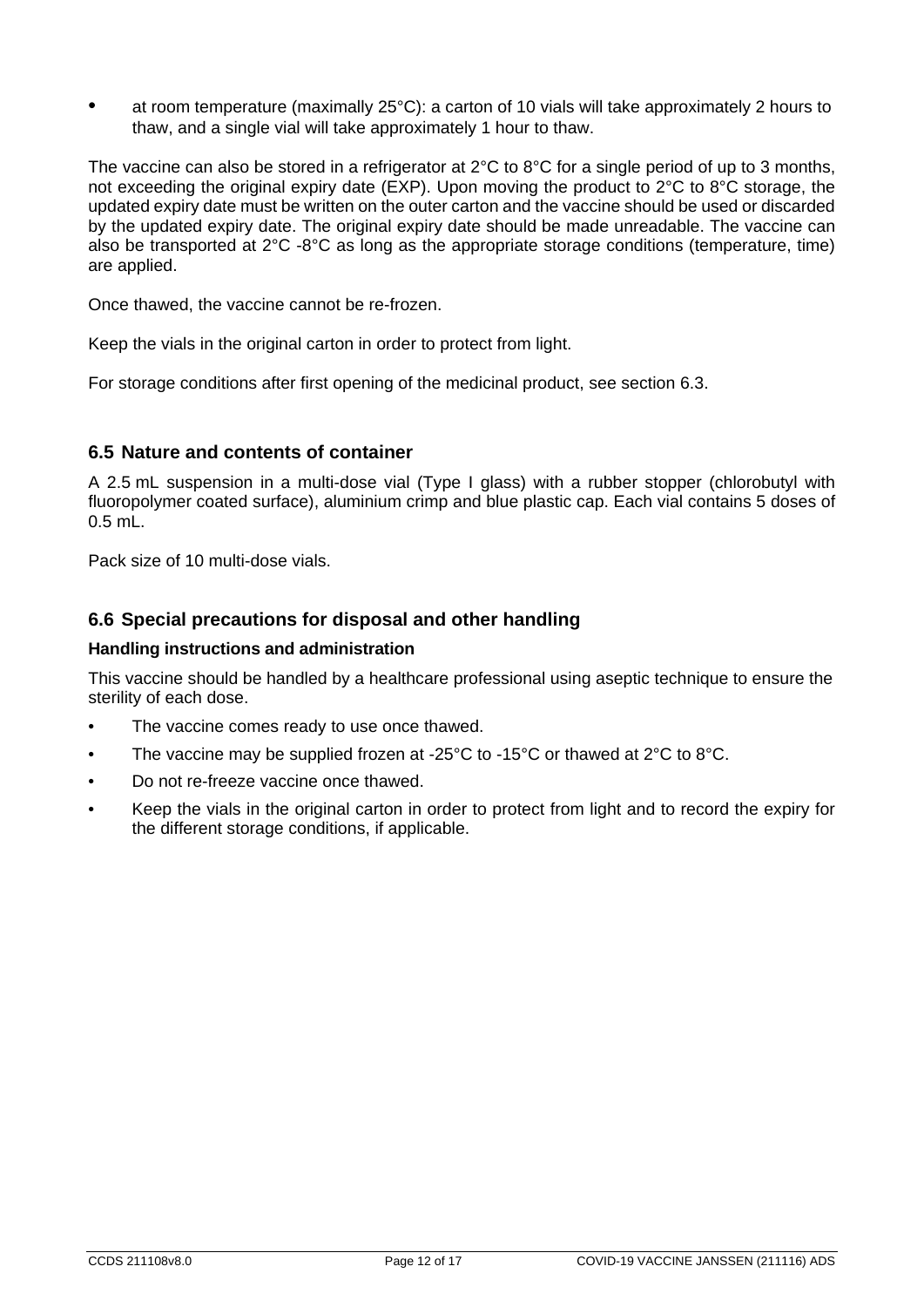• at room temperature (maximally 25°C): a carton of 10 vials will take approximately 2 hours to thaw, and a single vial will take approximately 1 hour to thaw.

The vaccine can also be stored in a refrigerator at 2°C to 8°C for a single period of up to 3 months, not exceeding the original expiry date (EXP). Upon moving the product to 2°C to 8°C storage, the updated expiry date must be written on the outer carton and the vaccine should be used or discarded by the updated expiry date. The original expiry date should be made unreadable. The vaccine can also be transported at 2°C -8°C as long as the appropriate storage conditions (temperature, time) are applied.

Once thawed, the vaccine cannot be re-frozen.

Keep the vials in the original carton in order to protect from light.

For storage conditions after first opening of the medicinal product, see section 6.3.

#### **6.5 Nature and contents of container**

A 2.5 mL suspension in a multi-dose vial (Type I glass) with a rubber stopper (chlorobutyl with fluoropolymer coated surface), aluminium crimp and blue plastic cap. Each vial contains 5 doses of 0.5 mL.

Pack size of 10 multi-dose vials.

#### **6.6 Special precautions for disposal and other handling**

#### **Handling instructions and administration**

This vaccine should be handled by a healthcare professional using aseptic technique to ensure the sterility of each dose.

- The vaccine comes ready to use once thawed.
- The vaccine may be supplied frozen at -25 $\degree$ C to -15 $\degree$ C or thawed at 2 $\degree$ C to 8 $\degree$ C.
- Do not re-freeze vaccine once thawed.
- Keep the vials in the original carton in order to protect from light and to record the expiry for the different storage conditions, if applicable.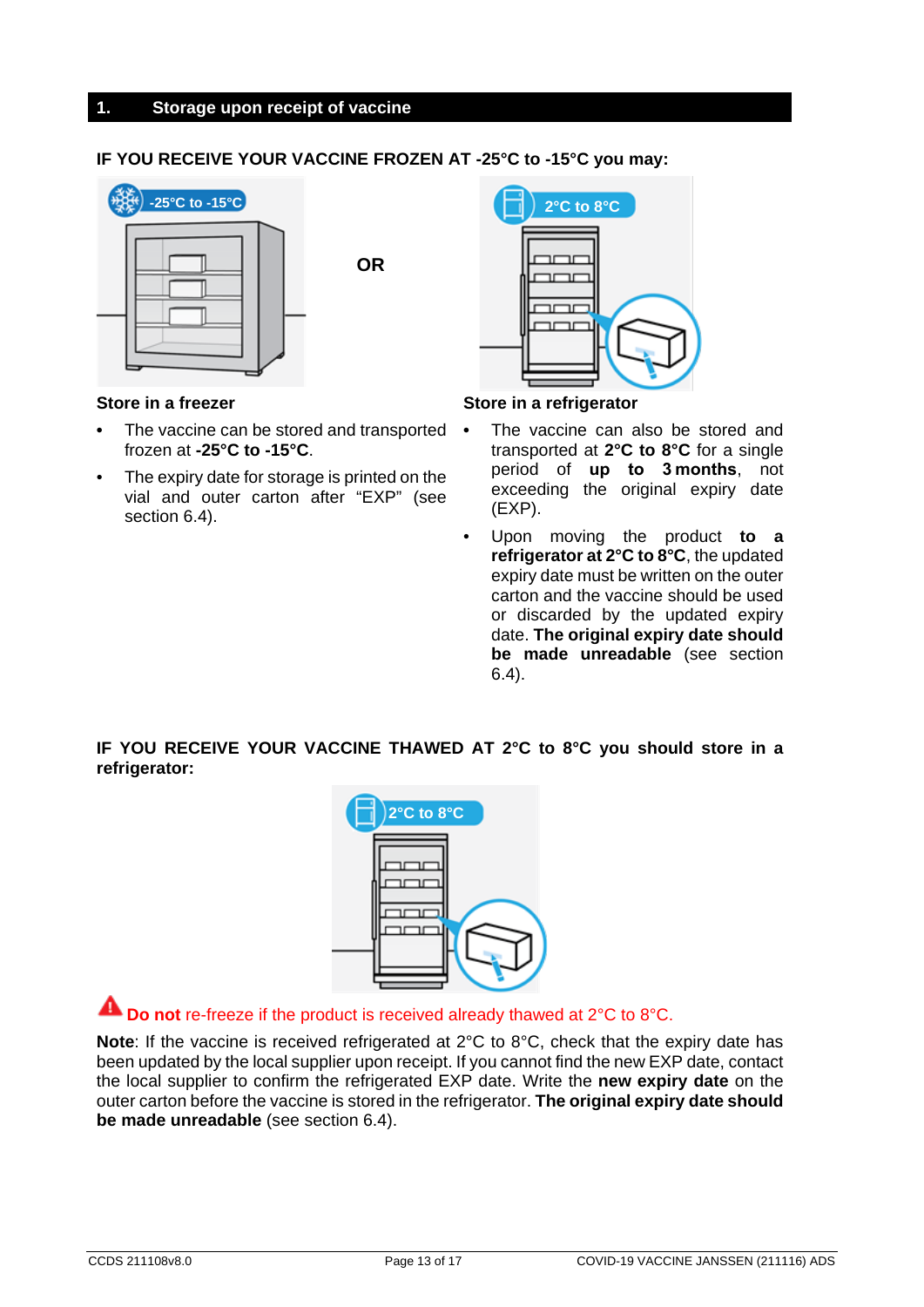#### **1. Storage upon receipt of vaccine**

#### **IF YOU RECEIVE YOUR VACCINE FROZEN AT -25°C to -15°C you may:**



**OR**



#### **Store in a freezer**

- **•** The vaccine can be stored and transported frozen at **-25°C to -15°C**.
- The expiry date for storage is printed on the vial and outer carton after "EXP" (see section 6.4).

#### **Store in a refrigerator**

- **•** The vaccine can also be stored and transported at **2°C to 8°C** for a single period of **up to 3 months**, not exceeding the original expiry date (EXP).
	- Upon moving the product **to a refrigerator at 2°C to 8°C**, the updated expiry date must be written on the outer carton and the vaccine should be used or discarded by the updated expiry date. **The original expiry date should be made unreadable** (see section 6.4).

#### **IF YOU RECEIVE YOUR VACCINE THAWED AT 2°C to 8°C you should store in a refrigerator:**



## **A** Do not re-freeze if the product is received already thawed at 2°C to 8°C.

**Note**: If the vaccine is received refrigerated at 2°C to 8°C, check that the expiry date has been updated by the local supplier upon receipt. If you cannot find the new EXP date, contact the local supplier to confirm the refrigerated EXP date. Write the **new expiry date** on the outer carton before the vaccine is stored in the refrigerator. **The original expiry date should be made unreadable** (see section 6.4).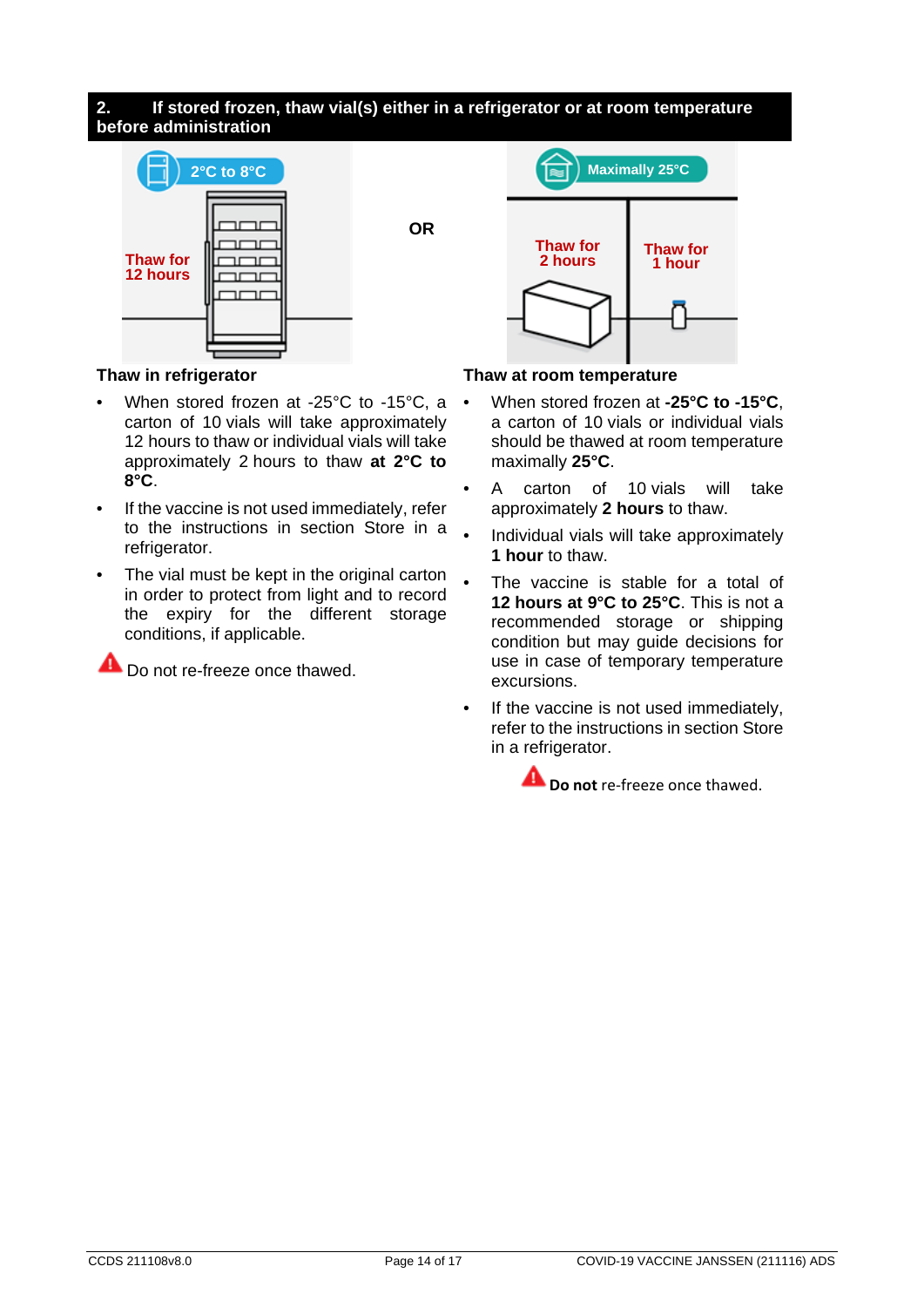#### **2. If stored frozen, thaw vial(s) either in a refrigerator or at room temperature before administration**

**OR**



**Maximally 25°C Thaw for 2 hours Thaw for 1 hour**

#### **Thaw in refrigerator**

- When stored frozen at -25°C to -15°C, a carton of 10 vials will take approximately 12 hours to thaw or individual vials will take approximately 2 hours to thaw **at 2°C to 8°C**.
- If the vaccine is not used immediately, refer to the instructions in section Store in a refrigerator.
- The vial must be kept in the original carton in order to protect from light and to record the expiry for the different storage conditions, if applicable.

Do not re-freeze once thawed.

#### **Thaw at room temperature**

- When stored frozen at **-25°C to -15°C**, a carton of 10 vials or individual vials should be thawed at room temperature maximally **25°C**.
- A carton of 10 vials will take approximately **2 hours** to thaw.
- Individual vials will take approximately **1 hour** to thaw.
- The vaccine is stable for a total of **12 hours at 9°C to 25°C**. This is not a recommended storage or shipping condition but may guide decisions for use in case of temporary temperature excursions.
- If the vaccine is not used immediately, refer to the instructions in section Store in a refrigerator.

**A** Do not re-freeze once thawed.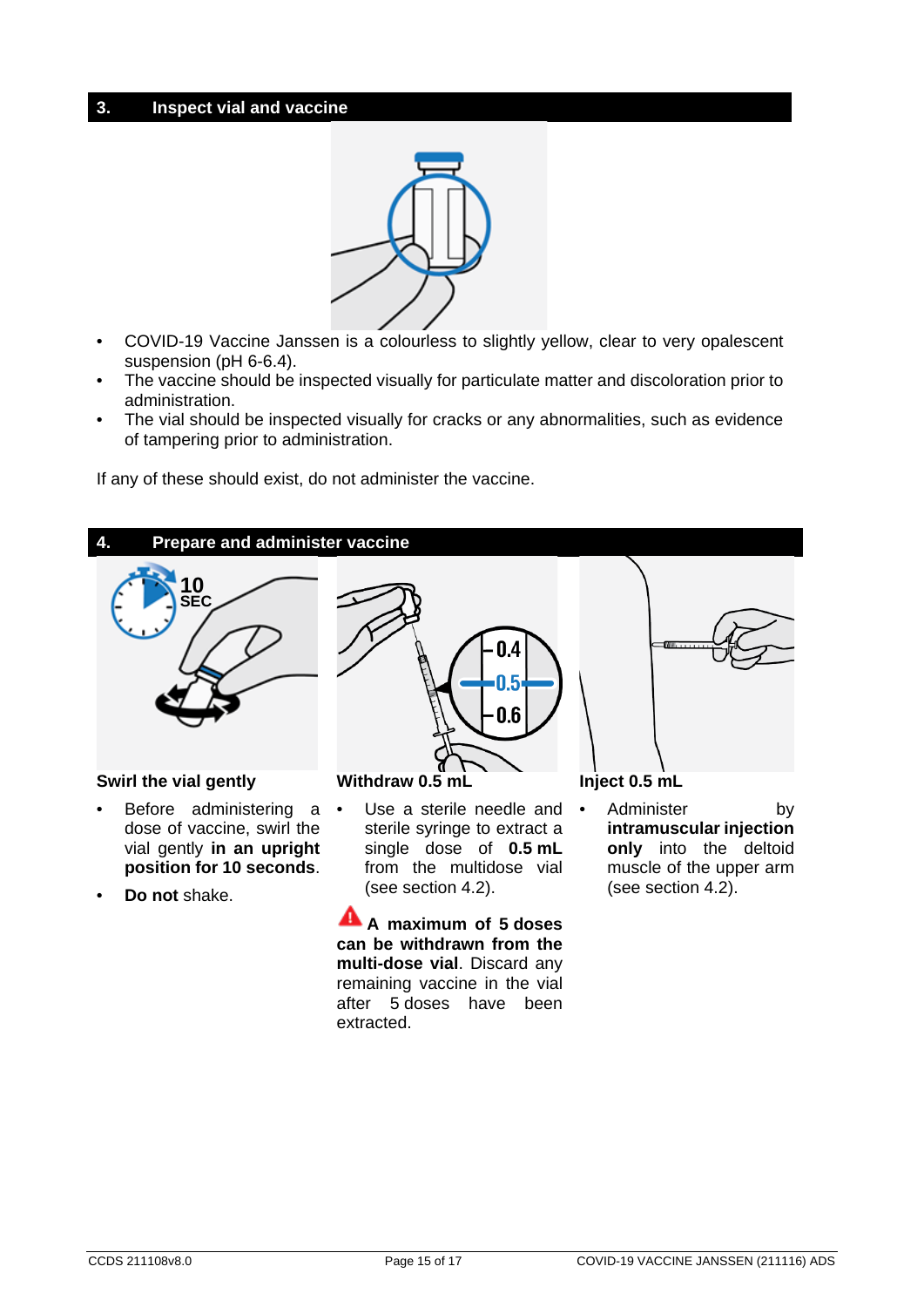#### **3. Inspect vial and vaccine**



- COVID-19 Vaccine Janssen is a colourless to slightly yellow, clear to very opalescent suspension (pH 6-6.4).
- The vaccine should be inspected visually for particulate matter and discoloration prior to administration.
- The vial should be inspected visually for cracks or any abnormalities, such as evidence of tampering prior to administration.

If any of these should exist, do not administer the vaccine.

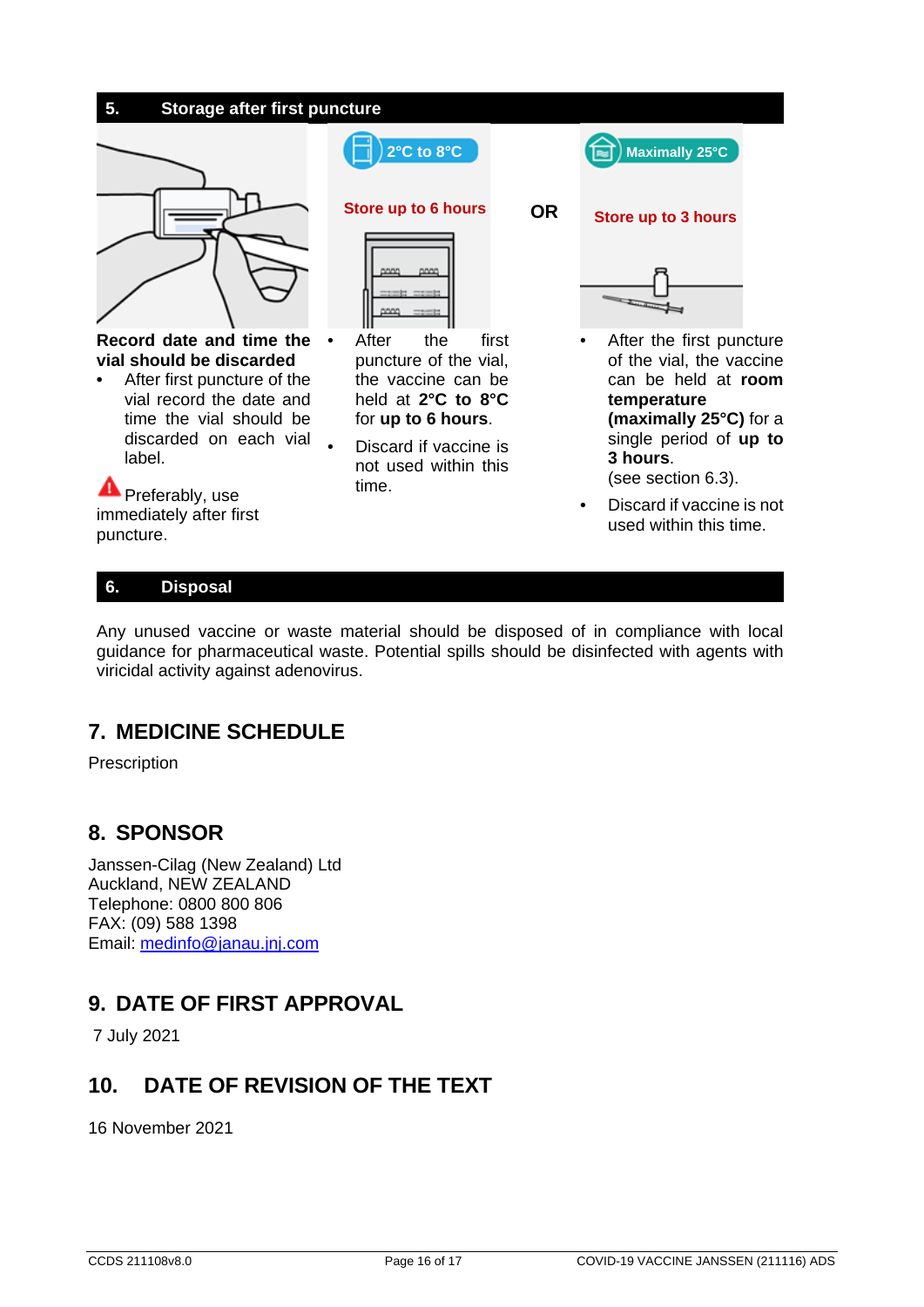

## **6. Disposal**

Any unused vaccine or waste material should be disposed of in compliance with local guidance for pharmaceutical waste. Potential spills should be disinfected with agents with viricidal activity against adenovirus.

## **7. MEDICINE SCHEDULE**

Prescription

## **8. SPONSOR**

Janssen-Cilag (New Zealand) Ltd Auckland, NEW ZEALAND Telephone: 0800 800 806 FAX: (09) 588 1398 Email: [medinfo@janau.jnj.com](mailto:medinfo@janau.jnj.com)

## **9. DATE OF FIRST APPROVAL**

7 July 2021

## **10. DATE OF REVISION OF THE TEXT**

16 November 2021